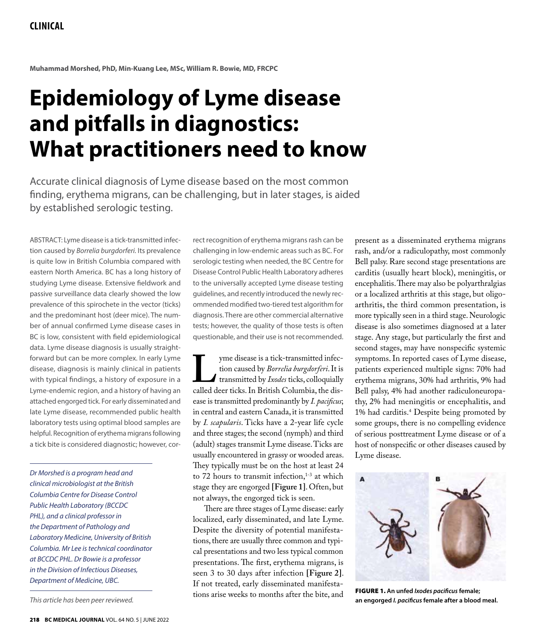**Muhammad Morshed, PhD, Min-Kuang Lee, MSc, William R. Bowie, MD, FRCPC**

# **Epidemiology of Lyme disease and pitfalls in diagnostics: What practitioners need to know**

Accurate clinical diagnosis of Lyme disease based on the most common finding, erythema migrans, can be challenging, but in later stages, is aided by established serologic testing.

ABSTRACT: Lyme disease is a tick-transmitted infection caused by *Borrelia burgdorferi.* Its prevalence is quite low in British Columbia compared with eastern North America. BC has a long history of studying Lyme disease. Extensive fieldwork and passive surveillance data clearly showed the low prevalence of this spirochete in the vector (ticks) and the predominant host (deer mice). The number of annual confirmed Lyme disease cases in BC is low, consistent with field epidemiological data. Lyme disease diagnosis is usually straightforward but can be more complex. In early Lyme disease, diagnosis is mainly clinical in patients with typical findings, a history of exposure in a Lyme-endemic region, and a history of having an attached engorged tick. For early disseminated and late Lyme disease, recommended public health laboratory tests using optimal blood samples are helpful. Recognition of erythema migrans following a tick bite is considered diagnostic; however, cor-

*Dr Morshed is a program head and clinical microbiologist at the British Columbia Centre for Disease Control Public Health Laboratory (BCCDC PHL), and a clinical professor in the Department of Pathology and Laboratory Medicine, University of British Columbia. Mr Lee is technical coordinator at BCCDC PHL. Dr Bowie is a professor in the Division of Infectious Diseases, Department of Medicine, UBC.*

*This article has been peer reviewed.*

rect recognition of erythema migrans rash can be challenging in low-endemic areas such as BC. For serologic testing when needed, the BC Centre for Disease Control Public Health Laboratory adheres to the universally accepted Lyme disease testing guidelines, and recently introduced the newly recommended modified two-tiered test algorithm for diagnosis. There are other commercial alternative tests; however, the quality of those tests is often questionable, and their use is not recommended.

yme disease is a tick-transmitted infection caused by *Borrelia burgdorferi*. It is<br>transmitted by *Ixodes* ticks, colloquially<br>called deer ticks. In British Columbia, the distion caused by *Borrelia burgdorferi*. It is transmitted by *Ixodes* ticks, colloquially ease is transmitted predominantly by *I. pacificus*; in central and eastern Canada, it is transmitted by *I. scapularis*. Ticks have a 2-year life cycle and three stages; the second (nymph) and third (adult) stages transmit Lyme disease. Ticks are usually encountered in grassy or wooded areas. They typically must be on the host at least 24 to 72 hours to transmit infection, $1-3$  at which stage they are engorged **[Figure 1]**. Often, but not always, the engorged tick is seen.

There are three stages of Lyme disease: early localized, early disseminated, and late Lyme. Despite the diversity of potential manifestations, there are usually three common and typical presentations and two less typical common presentations. The first, erythema migrans, is seen 3 to 30 days after infection **[Figure 2]**. If not treated, early disseminated manifestations arise weeks to months after the bite, and

present as a disseminated erythema migrans rash, and/or a radiculopathy, most commonly Bell palsy. Rare second stage presentations are carditis (usually heart block), meningitis, or encephalitis. There may also be polyarthralgias or a localized arthritis at this stage, but oligoarthritis, the third common presentation, is more typically seen in a third stage. Neurologic disease is also sometimes diagnosed at a later stage. Any stage, but particularly the first and second stages, may have nonspecific systemic symptoms. In reported cases of Lyme disease, patients experienced multiple signs: 70% had erythema migrans, 30% had arthritis, 9% had Bell palsy, 4% had another radiculoneuropathy, 2% had meningitis or encephalitis, and 1% had carditis.4 Despite being promoted by some groups, there is no compelling evidence of serious posttreatment Lyme disease or of a host of nonspecific or other diseases caused by Lyme disease.



FIGURE 1. **An unfed** *Ixodes pacificus* **female; an engorged** *I. pacificus* **female after a blood meal.**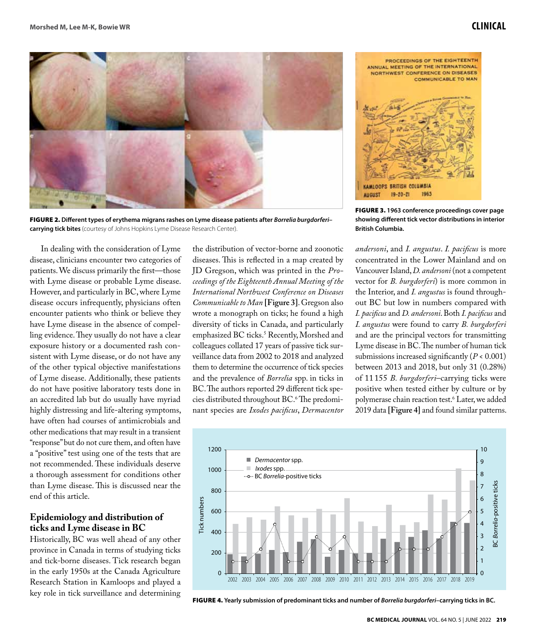

FIGURE 2. **Different types of erythema migrans rashes on Lyme disease patients after** *Borrelia burgdorferi***– carrying tick bites** (courtesy of Johns Hopkins Lyme Disease Research Center).

In dealing with the consideration of Lyme disease, clinicians encounter two categories of patients. We discuss primarily the first—those with Lyme disease or probable Lyme disease. However, and particularly in BC, where Lyme disease occurs infrequently, physicians often encounter patients who think or believe they have Lyme disease in the absence of compelling evidence. They usually do not have a clear exposure history or a documented rash consistent with Lyme disease, or do not have any of the other typical objective manifestations of Lyme disease. Additionally, these patients do not have positive laboratory tests done in an accredited lab but do usually have myriad highly distressing and life-altering symptoms, have often had courses of antimicrobials and other medications that may result in a transient "response" but do not cure them, and often have a "positive" test using one of the tests that are not recommended. These individuals deserve a thorough assessment for conditions other than Lyme disease. This is discussed near the end of this article.

#### **Epidemiology and distribution of ticks and Lyme disease in BC**

Historically, BC was well ahead of any other province in Canada in terms of studying ticks and tick-borne diseases. Tick research began in the early 1950s at the Canada Agriculture Research Station in Kamloops and played a key role in tick surveillance and determining

the distribution of vector-borne and zoonotic diseases. This is reflected in a map created by JD Gregson, which was printed in the *Proceedings of the Eighteenth Annual Meeting of the International Northwest Conference on Diseases Communicable to Man* **[Figure 3]**. Gregson also wrote a monograph on ticks; he found a high diversity of ticks in Canada, and particularly emphasized BC ticks.5 Recently, Morshed and colleagues collated 17 years of passive tick surveillance data from 2002 to 2018 and analyzed them to determine the occurrence of tick species and the prevalence of *Borrelia* spp. in ticks in BC. The authors reported 29 different tick species distributed throughout BC.6 The predominant species are *Ixodes pacificus*, *Dermacentor* 



FIGURE 3. **1963 conference proceedings cover page showing different tick vector distributions in interior British Columbia.**

*andersoni*, and *I. angustus*. *I. pacificus* is more concentrated in the Lower Mainland and on Vancouver Island, *D. andersoni* (not a competent vector for *B. burgdorferi*) is more common in the Interior, and *I. angustus* is found throughout BC but low in numbers compared with *I. pacificus* and *D. andersoni*. Both *I. pacificus* and *I. angustus* were found to carry *B. burgdorferi* and are the principal vectors for transmitting Lyme disease in BC. The number of human tick submissions increased significantly  $(P < 0.001)$ between 2013 and 2018, but only 31 (0.28%) of 11 155 *B. burgdorferi*–carrying ticks were positive when tested either by culture or by polymerase chain reaction test.6 Later, we added 2019 data **[Figure 4]** and found similar patterns.



FIGURE 4. **Yearly submission of predominant ticks and number of** *Borrelia burgdorferi***–carrying ticks in BC.**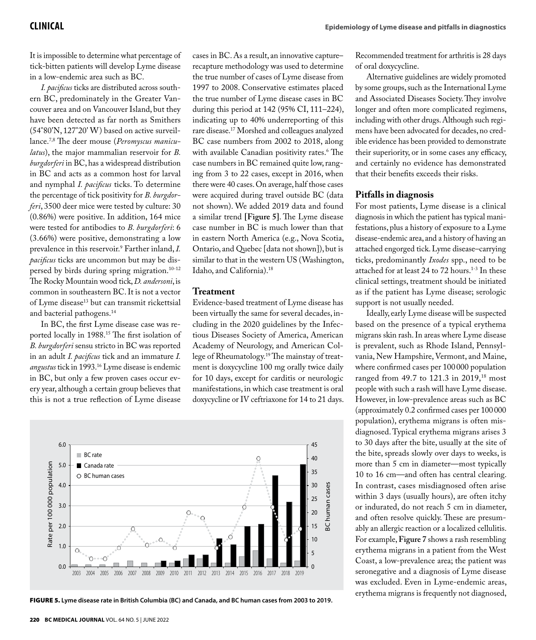It is impossible to determine what percentage of tick-bitten patients will develop Lyme disease in a low-endemic area such as BC.

*I. pacificus* ticks are distributed across southern BC, predominately in the Greater Vancouver area and on Vancouver Island, but they have been detected as far north as Smithers (54°80'N, 127°20' W) based on active surveillance.7,8 The deer mouse (*Peromyscus maniculatus*), the major mammalian reservoir for *B. burgdorferi* in BC, has a widespread distribution in BC and acts as a common host for larval and nymphal *I. pacificus* ticks. To determine the percentage of tick positivity for *B. burgdorferi*, 3500 deer mice were tested by culture: 30 (0.86%) were positive. In addition, 164 mice were tested for antibodies to *B. burgdorferi*: 6 (3.66%) were positive, demonstrating a low prevalence in this reservoir.9 Farther inland, *I. pacificus* ticks are uncommon but may be dispersed by birds during spring migration.10-12 The Rocky Mountain wood tick, *D. andersoni*, is common in southeastern BC. It is not a vector of Lyme disease<sup>13</sup> but can transmit rickettsial and bacterial pathogens.14

In BC, the first Lyme disease case was reported locally in 1988.<sup>15</sup> The first isolation of *B. burgdorferi* sensu stricto in BC was reported in an adult *I. pacificus* tick and an immature *I. angustus* tick in 1993.16 Lyme disease is endemic in BC, but only a few proven cases occur every year, although a certain group believes that this is not a true reflection of Lyme disease

cases in BC. As a result, an innovative capture– recapture methodology was used to determine the true number of cases of Lyme disease from 1997 to 2008. Conservative estimates placed the true number of Lyme disease cases in BC during this period at 142 (95% CI, 111–224), indicating up to 40% underreporting of this rare disease.17 Morshed and colleagues analyzed BC case numbers from 2002 to 2018, along with available Canadian positivity rates.6 The case numbers in BC remained quite low, ranging from 3 to 22 cases, except in 2016, when there were 40 cases. On average, half those cases were acquired during travel outside BC (data not shown). We added 2019 data and found a similar trend **[Figure 5]**. The Lyme disease case number in BC is much lower than that in eastern North America (e.g., Nova Scotia, Ontario, and Quebec [data not shown]), but is similar to that in the western US (Washington, Idaho, and California).18

### **Treatment**

Evidence-based treatment of Lyme disease has been virtually the same for several decades, including in the 2020 guidelines by the Infectious Diseases Society of America, American Academy of Neurology, and American College of Rheumatology.19 The mainstay of treatment is doxycycline 100 mg orally twice daily for 10 days, except for carditis or neurologic manifestations, in which case treatment is oral doxycycline or IV ceftriaxone for 14 to 21 days.



FIGURE 5. **Lyme disease rate in British Columbia (BC) and Canada, and BC human cases from 2003 to 2019.**

Recommended treatment for arthritis is 28 days of oral doxycycline.

Alternative guidelines are widely promoted by some groups, such as the International Lyme and Associated Diseases Society. They involve longer and often more complicated regimens, including with other drugs. Although such regimens have been advocated for decades, no credible evidence has been provided to demonstrate their superiority, or in some cases any efficacy, and certainly no evidence has demonstrated that their benefits exceeds their risks.

#### **Pitfalls in diagnosis**

For most patients, Lyme disease is a clinical diagnosis in which the patient has typical manifestations, plus a history of exposure to a Lyme disease-endemic area, and a history of having an attached engorged tick. Lyme disease–carrying ticks, predominantly *Ixodes* spp., need to be attached for at least 24 to 72 hours.<sup>1-3</sup> In these clinical settings, treatment should be initiated as if the patient has Lyme disease; serologic support is not usually needed.

Ideally, early Lyme disease will be suspected based on the presence of a typical erythema migrans skin rash. In areas where Lyme disease is prevalent, such as Rhode Island, Pennsylvania, New Hampshire, Vermont, and Maine, where confirmed cases per 100 000 population ranged from 49.7 to 121.3 in 2019,<sup>18</sup> most people with such a rash will have Lyme disease. However, in low-prevalence areas such as BC (approximately 0.2 confirmed cases per 100 000 population), erythema migrans is often misdiagnosed. Typical erythema migrans arises 3 to 30 days after the bite, usually at the site of the bite, spreads slowly over days to weeks, is more than 5 cm in diameter—most typically 10 to 16 cm—and often has central clearing. In contrast, cases misdiagnosed often arise within 3 days (usually hours), are often itchy or indurated, do not reach 5 cm in diameter, and often resolve quickly. These are presumably an allergic reaction or a localized cellulitis. For example, **Figure 7** shows a rash resembling erythema migrans in a patient from the West Coast, a low-prevalence area; the patient was seronegative and a diagnosis of Lyme disease was excluded. Even in Lyme-endemic areas, erythema migrans is frequently not diagnosed,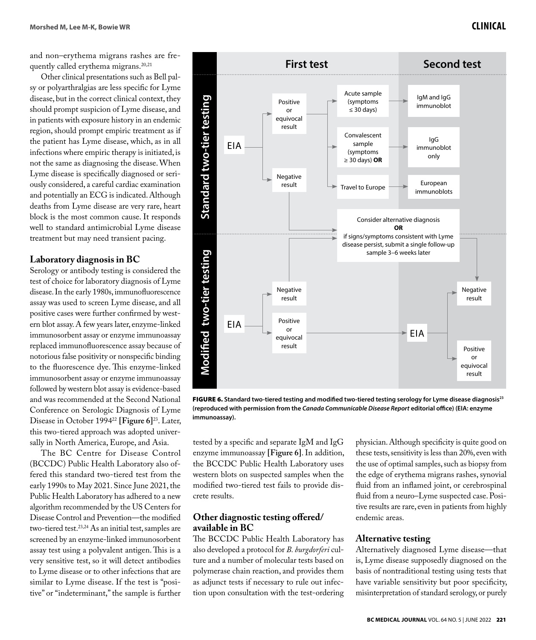and non–erythema migrans rashes are frequently called erythema migrans.<sup>20,21</sup> Other clinical presentations such as Bell pal-

sy or polyarthralgias are less specific for Lyme disease, but in the correct clinical context, they should prompt suspicion of Lyme disease, and in patients with exposure history in an endemic region, should prompt empiric treatment as if the patient has Lyme disease, which, as in all infections where empiric therapy is initiated, is not the same as diagnosing the disease. When Lyme disease is specifically diagnosed or seriously considered, a careful cardiac examination and potentially an ECG is indicated. Although deaths from Lyme disease are very rare, heart block is the most common cause. It responds well to standard antimicrobial Lyme disease treatment but may need transient pacing.

# **Laboratory diagnosis in BC**

Serology or antibody testing is considered the test of choice for laboratory diagnosis of Lyme disease. In the early 1980s, immunofluorescence assay was used to screen Lyme disease, and all positive cases were further confirmed by western blot assay. A few years later, enzyme-linked immunosorbent assay or enzyme immunoassay replaced immunofluorescence assay because of notorious false positivity or nonspecific binding to the fluorescence dye. This enzyme-linked immunosorbent assay or enzyme immunoassay followed by western blot assay is evidence-based and was recommended at the Second National Conference on Serologic Diagnosis of Lyme Disease in October 199422 **[Figure 6]**23. Later, this two-tiered approach was adopted universally in North America, Europe, and Asia.

The BC Centre for Disease Control (BCCDC) Public Health Laboratory also offered this standard two-tiered test from the early 1990s to May 2021. Since June 2021, the Public Health Laboratory has adhered to a new algorithm recommended by the US Centers for Disease Control and Prevention—the modified two-tiered test.<sup>23,24</sup> As an initial test, samples are screened by an enzyme-linked immunosorbent assay test using a polyvalent antigen. This is a very sensitive test, so it will detect antibodies to Lyme disease or to other infections that are similar to Lyme disease. If the test is "positive" or "indeterminant," the sample is further



FIGURE 6. **Standard two-tiered testing and modified two-tiered testing serology for Lyme disease diagnosis23 (reproduced with permission from the** *Canada Communicable Disease Report* **editorial office) (EIA: enzyme immunoassay).**

tested by a specific and separate IgM and IgG enzyme immunoassay **[Figure 6]**. In addition, the BCCDC Public Health Laboratory uses western blots on suspected samples when the modified two-tiered test fails to provide discrete results.

# **Other diagnostic testing offered/ available in BC**

The BCCDC Public Health Laboratory has also developed a protocol for *B. burgdorferi* culture and a number of molecular tests based on polymerase chain reaction, and provides them as adjunct tests if necessary to rule out infection upon consultation with the test-ordering physician. Although specificity is quite good on these tests, sensitivity is less than 20%, even with the use of optimal samples, such as biopsy from the edge of erythema migrans rashes, synovial fluid from an inflamed joint, or cerebrospinal fluid from a neuro–Lyme suspected case. Positive results are rare, even in patients from highly endemic areas.

# **Alternative testing**

Alternatively diagnosed Lyme disease—that is, Lyme disease supposedly diagnosed on the basis of nontraditional testing using tests that have variable sensitivity but poor specificity, misinterpretation of standard serology, or purely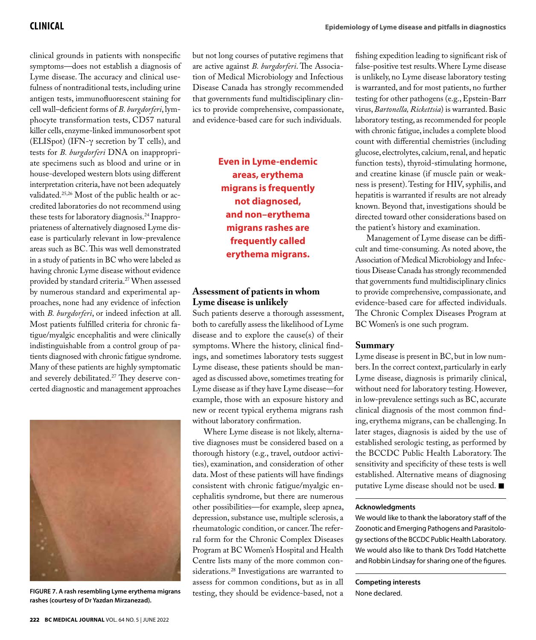clinical grounds in patients with nonspecific symptoms—does not establish a diagnosis of Lyme disease. The accuracy and clinical usefulness of nontraditional tests, including urine antigen tests, immunofluorescent staining for cell wall–deficient forms of *B. burgdorferi*, lymphocyte transformation tests, CD57 natural killer cells, enzyme-linked immunosorbent spot (ELISpot) (IFN-γ secretion by T cells), and tests for *B. burgdorferi* DNA on inappropriate specimens such as blood and urine or in house-developed western blots using different interpretation criteria, have not been adequately validated.25,26 Most of the public health or accredited laboratories do not recommend using these tests for laboratory diagnosis.24 Inappropriateness of alternatively diagnosed Lyme disease is particularly relevant in low-prevalence areas such as BC. This was well demonstrated in a study of patients in BC who were labeled as having chronic Lyme disease without evidence provided by standard criteria.27 When assessed by numerous standard and experimental approaches, none had any evidence of infection with *B. burgdorferi*, or indeed infection at all. Most patients fulfilled criteria for chronic fatigue/myalgic encephalitis and were clinically indistinguishable from a control group of patients diagnosed with chronic fatigue syndrome. Many of these patients are highly symptomatic and severely debilitated.<sup>27</sup> They deserve concerted diagnostic and management approaches



**FIGURE 7. A rash resembling Lyme erythema migrans rashes (courtesy of Dr Yazdan Mirzanezad).**

are active against *B. burgdorferi*. The Association of Medical Microbiology and Infectious Disease Canada has strongly recommended that governments fund multidisciplinary clinics to provide comprehensive, compassionate, and evidence-based care for such individuals.

> **Even in Lyme-endemic areas, erythema migrans is frequently not diagnosed, and non–erythema migrans rashes are frequently called erythema migrans.**

### **Assessment of patients in whom Lyme disease is unlikely**

Such patients deserve a thorough assessment, both to carefully assess the likelihood of Lyme disease and to explore the cause(s) of their symptoms. Where the history, clinical findings, and sometimes laboratory tests suggest Lyme disease, these patients should be managed as discussed above, sometimes treating for Lyme disease as if they have Lyme disease—for example, those with an exposure history and new or recent typical erythema migrans rash without laboratory confirmation.

Where Lyme disease is not likely, alternative diagnoses must be considered based on a thorough history (e.g., travel, outdoor activities), examination, and consideration of other data. Most of these patients will have findings consistent with chronic fatigue/myalgic encephalitis syndrome, but there are numerous other possibilities—for example, sleep apnea, depression, substance use, multiple sclerosis, a rheumatologic condition, or cancer. The referral form for the Chronic Complex Diseases Program at BC Women's Hospital and Health Centre lists many of the more common considerations.28 Investigations are warranted to assess for common conditions, but as in all testing, they should be evidence-based, not a fishing expedition leading to significant risk of false-positive test results. Where Lyme disease is unlikely, no Lyme disease laboratory testing is warranted, and for most patients, no further testing for other pathogens (e.g., Epstein-Barr virus, *Bartonella, Rickettsia*) is warranted. Basic laboratory testing, as recommended for people with chronic fatigue, includes a complete blood count with differential chemistries (including glucose, electrolytes, calcium, renal, and hepatic function tests), thyroid-stimulating hormone, and creatine kinase (if muscle pain or weakness is present). Testing for HIV, syphilis, and hepatitis is warranted if results are not already known. Beyond that, investigations should be directed toward other considerations based on the patient's history and examination.

Management of Lyme disease can be difficult and time-consuming. As noted above, the Association of Medical Microbiology and Infectious Disease Canada has strongly recommended that governments fund multidisciplinary clinics to provide comprehensive, compassionate, and evidence-based care for affected individuals. The Chronic Complex Diseases Program at BC Women's is one such program.

### **Summary**

Lyme disease is present in BC, but in low numbers. In the correct context, particularly in early Lyme disease, diagnosis is primarily clinical, without need for laboratory testing. However, in low-prevalence settings such as BC, accurate clinical diagnosis of the most common finding, erythema migrans, can be challenging. In later stages, diagnosis is aided by the use of established serologic testing, as performed by the BCCDC Public Health Laboratory. The sensitivity and specificity of these tests is well established. Alternative means of diagnosing putative Lyme disease should not be used.  $\blacksquare$ 

#### **Acknowledgments**

We would like to thank the laboratory staff of the Zoonotic and Emerging Pathogens and Parasitology sections of the BCCDC Public Health Laboratory. We would also like to thank Drs Todd Hatchette and Robbin Lindsay for sharing one of the figures.

**Competing interests** None declared.